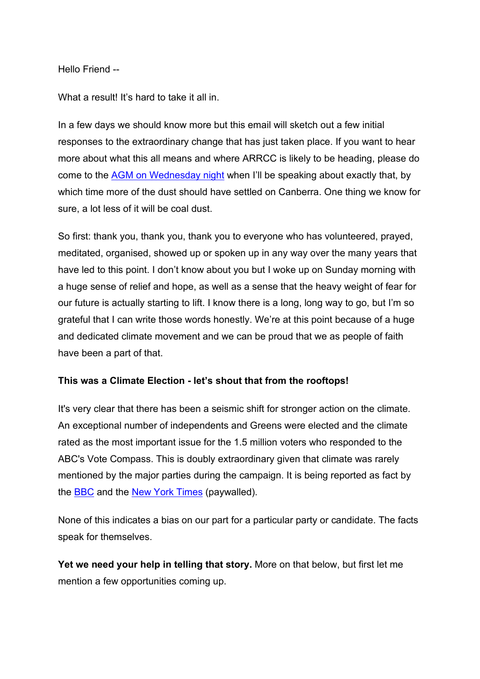#### Hello Friend --

What a result! It's hard to take it all in.

In a few days we should know more but this email will sketch out a few initial responses to the extraordinary change that has just taken place. If you want to hear more about what this all means and where ARRCC is likely to be heading, please do come to the [AGM on Wednesday night](https://www.arrcc.org.au/2022_agm?e=fb00038bdbe64a2ecbc186419d6526b6&utm_source=arrcc&utm_medium=email&utm_campaign=climate_election&n=2) when I'll be speaking about exactly that, by which time more of the dust should have settled on Canberra. One thing we know for sure, a lot less of it will be coal dust.

So first: thank you, thank you, thank you to everyone who has volunteered, prayed, meditated, organised, showed up or spoken up in any way over the many years that have led to this point. I don't know about you but I woke up on Sunday morning with a huge sense of relief and hope, as well as a sense that the heavy weight of fear for our future is actually starting to lift. I know there is a long, long way to go, but I'm so grateful that I can write those words honestly. We're at this point because of a huge and dedicated climate movement and we can be proud that we as people of faith have been a part of that.

### **This was a Climate Election - let's shout that from the rooftops!**

It's very clear that there has been a seismic shift for stronger action on the climate. An exceptional number of independents and Greens were elected and the climate rated as the most important issue for the 1.5 million voters who responded to the ABC's Vote Compass. This is doubly extraordinary given that climate was rarely mentioned by the major parties during the campaign. It is being reported as fact by the [BBC](https://www.arrcc.org.au/r?u=BOdf-ip-bFRCEZibDBbHGso8y4IlAvKw1FEWKGwv4U29gnJoMpXnHx4Prv6G369YMifE0Vqsklfb6HyImjhzUQ&e=fb00038bdbe64a2ecbc186419d6526b6&utm_source=arrcc&utm_medium=email&utm_campaign=climate_election&n=3) and the [New York Times](https://www.arrcc.org.au/r?u=PiInCVHjZg_Lhb0RQ-dhd_Sf9rkaMzDscob72wpTEt-xXOIeDWxVgEtd3w9RkgL1lcBESrz5yabXeuXoLsD7UaLzm8BPEDQ2JWwjAG_Jbk8iSfe_uYO2aDP9pU5iOC1ObawW_QrXR6ygSlll8yTo-w&e=fb00038bdbe64a2ecbc186419d6526b6&utm_source=arrcc&utm_medium=email&utm_campaign=climate_election&n=4) (paywalled).

None of this indicates a bias on our part for a particular party or candidate. The facts speak for themselves.

**Yet we need your help in telling that story.** More on that below, but first let me mention a few opportunities coming up.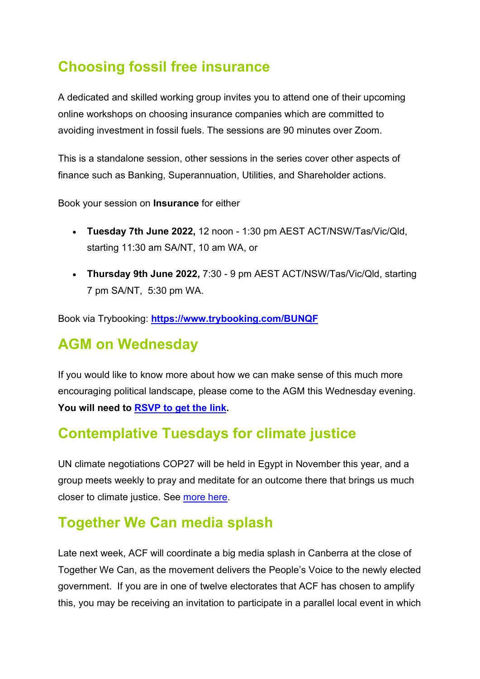# **Choosing fossil free insurance**

A dedicated and skilled working group invites you to attend one of their upcoming online workshops on choosing insurance companies which are committed to avoiding investment in fossil fuels. The sessions are 90 minutes over Zoom.

This is a standalone session, other sessions in the series cover other aspects of finance such as Banking, Superannuation, Utilities, and Shareholder actions.

Book your session on **Insurance** for either

- **Tuesday 7th June 2022,** 12 noon 1:30 pm AEST ACT/NSW/Tas/Vic/Qld, starting 11:30 am SA/NT, 10 am WA, or
- **Thursday 9th June 2022,** 7:30 9 pm AEST ACT/NSW/Tas/Vic/Qld, starting 7 pm SA/NT, 5:30 pm WA.

Book via Trybooking: **[https://www.trybooking.com/BUNQF](https://www.arrcc.org.au/r?u=bDnGS8QMYjKi-Utd1RKG42LBJzSL0mmNiiKBShSSSIee7w4cTIJFtGoEloRs5yO8&e=fb00038bdbe64a2ecbc186419d6526b6&utm_source=arrcc&utm_medium=email&utm_campaign=climate_election&n=5)**

# **AGM on Wednesday**

If you would like to know more about how we can make sense of this much more encouraging political landscape, please come to the AGM this Wednesday evening. **You will need to [RSVP to get the link.](https://www.arrcc.org.au/2022_agm?e=fb00038bdbe64a2ecbc186419d6526b6&utm_source=arrcc&utm_medium=email&utm_campaign=climate_election&n=6)**

# **Contemplative Tuesdays for climate justice**

UN climate negotiations COP27 will be held in Egypt in November this year, and a group meets weekly to pray and meditate for an outcome there that brings us much closer to climate justice. See [more here.](https://www.arrcc.org.au/contemplative_tuesdays_for_climate?e=fb00038bdbe64a2ecbc186419d6526b6&utm_source=arrcc&utm_medium=email&utm_campaign=climate_election&n=7)

# **Together We Can media splash**

Late next week, ACF will coordinate a big media splash in Canberra at the close of Together We Can, as the movement delivers the People's Voice to the newly elected government. If you are in one of twelve electorates that ACF has chosen to amplify this, you may be receiving an invitation to participate in a parallel local event in which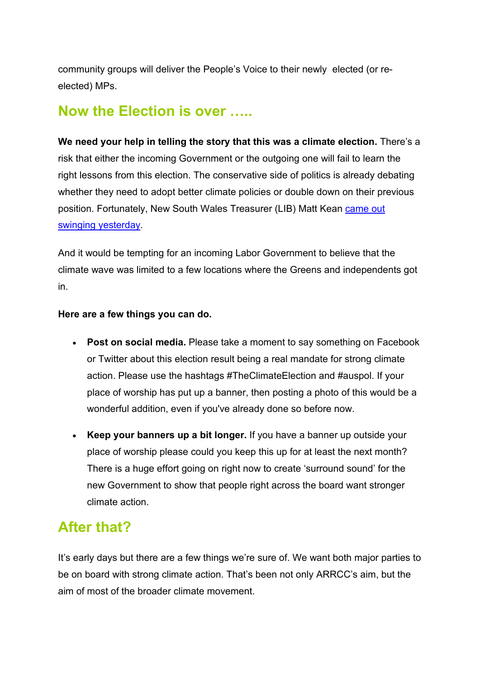community groups will deliver the People's Voice to their newly elected (or reelected) MPs.

### **Now the Election is over …..**

**We need your help in telling the story that this was a climate election.** There's a risk that either the incoming Government or the outgoing one will fail to learn the right lessons from this election. The conservative side of politics is already debating whether they need to adopt better climate policies or double down on their previous position. Fortunately, New South Wales Treasurer (LIB) Matt Kean [came out](https://www.arrcc.org.au/r?u=FECXgvVBAH18GBWRCy8D9STfn5_obmJT_ymll8hPaHLo-6eB60T0HwkQz-hUgvAeqYxcDjIcEiNfR4gZFRv1WAbCRHGHQpUxeoetVN7pWmXuj-adIbs3aDDbgjjl_metlu42oW6WLFLshz7vyl-5bq9qhVidYX1JcLO35KRc1LQG1wgNNCjkDqlzC3MJ6ALMqOX91RhFlS0GfcReFWUcGA&e=fb00038bdbe64a2ecbc186419d6526b6&utm_source=arrcc&utm_medium=email&utm_campaign=climate_election&n=8)  [swinging yesterday.](https://www.arrcc.org.au/r?u=FECXgvVBAH18GBWRCy8D9STfn5_obmJT_ymll8hPaHLo-6eB60T0HwkQz-hUgvAeqYxcDjIcEiNfR4gZFRv1WAbCRHGHQpUxeoetVN7pWmXuj-adIbs3aDDbgjjl_metlu42oW6WLFLshz7vyl-5bq9qhVidYX1JcLO35KRc1LQG1wgNNCjkDqlzC3MJ6ALMqOX91RhFlS0GfcReFWUcGA&e=fb00038bdbe64a2ecbc186419d6526b6&utm_source=arrcc&utm_medium=email&utm_campaign=climate_election&n=8)

And it would be tempting for an incoming Labor Government to believe that the climate wave was limited to a few locations where the Greens and independents got in.

### **Here are a few things you can do.**

- **Post on social media.** Please take a moment to say something on Facebook or Twitter about this election result being a real mandate for strong climate action. Please use the hashtags #TheClimateElection and #auspol. If your place of worship has put up a banner, then posting a photo of this would be a wonderful addition, even if you've already done so before now.
- **Keep your banners up a bit longer.** If you have a banner up outside your place of worship please could you keep this up for at least the next month? There is a huge effort going on right now to create 'surround sound' for the new Government to show that people right across the board want stronger climate action.

# **After that?**

It's early days but there are a few things we're sure of. We want both major parties to be on board with strong climate action. That's been not only ARRCC's aim, but the aim of most of the broader climate movement.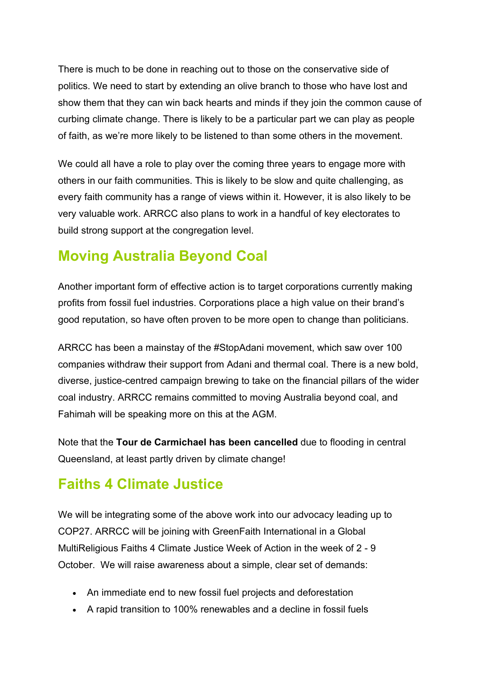There is much to be done in reaching out to those on the conservative side of politics. We need to start by extending an olive branch to those who have lost and show them that they can win back hearts and minds if they join the common cause of curbing climate change. There is likely to be a particular part we can play as people of faith, as we're more likely to be listened to than some others in the movement.

We could all have a role to play over the coming three years to engage more with others in our faith communities. This is likely to be slow and quite challenging, as every faith community has a range of views within it. However, it is also likely to be very valuable work. ARRCC also plans to work in a handful of key electorates to build strong support at the congregation level.

# **Moving Australia Beyond Coal**

Another important form of effective action is to target corporations currently making profits from fossil fuel industries. Corporations place a high value on their brand's good reputation, so have often proven to be more open to change than politicians.

ARRCC has been a mainstay of the #StopAdani movement, which saw over 100 companies withdraw their support from Adani and thermal coal. There is a new bold, diverse, justice-centred campaign brewing to take on the financial pillars of the wider coal industry. ARRCC remains committed to moving Australia beyond coal, and Fahimah will be speaking more on this at the AGM.

Note that the **Tour de Carmichael has been cancelled** due to flooding in central Queensland, at least partly driven by climate change!

# **Faiths 4 Climate Justice**

We will be integrating some of the above work into our advocacy leading up to COP27. ARRCC will be joining with GreenFaith International in a Global MultiReligious Faiths 4 Climate Justice Week of Action in the week of 2 - 9 October. We will raise awareness about a simple, clear set of demands:

- An immediate end to new fossil fuel projects and deforestation
- A rapid transition to 100% renewables and a decline in fossil fuels